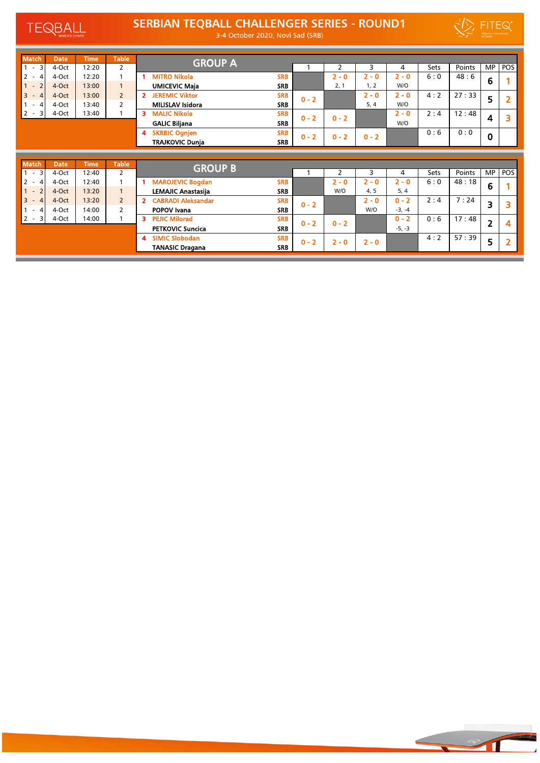TEQBALL

## SERBIAN TEQBALL CHALLENGER SERIES - ROUND1



 $\overline{\phantom{a}}$ 

3-4 October 2020, Novi Sad (SRB)

| <b>Match</b>                               | <b>Date</b> | <b>Time</b> | <b>Table</b>   | <b>GROUP A</b>              |            |         |         |         |         |             |        |             |      |
|--------------------------------------------|-------------|-------------|----------------|-----------------------------|------------|---------|---------|---------|---------|-------------|--------|-------------|------|
| 3<br>$\sim$                                | 4-Oct       | 12:20       | 2              |                             |            |         |         | ς       | 4       | <b>Sets</b> | Points | <b>MP</b>   | POS  |
| $\overline{2}$                             | 4-Oct       | 12:20       |                | <b>MITRO Nikola</b>         | <b>SRB</b> |         | $2 - 0$ | $2 - 0$ | $2 - 0$ | 6:0         | 48:6   | 6           |      |
| $\overline{z}$<br>$\overline{\phantom{a}}$ | 4-Oct       | 13:00       |                | <b>UMICEVIC Maja</b>        | <b>SRB</b> |         | 2, 1    | 1, 2    | W/O     |             |        |             |      |
| 3                                          | 4-Oct       | 13:00       | $\overline{2}$ | <b>JEREMIC Viktor</b><br>2. | <b>SRB</b> | $0 - 2$ |         | $2 - 0$ | $2 - 0$ | 4:2         | 27:33  | 5           |      |
| 4<br>$\overline{\phantom{a}}$              | 4-Oct       | 13:40       | $\overline{2}$ | <b>MILISLAV Isidora</b>     | <b>SRB</b> |         |         | 5, 4    | W/O     |             |        |             |      |
| $2 -$<br>3                                 | 4-Oct       | 13:40       |                | <b>MALIC Nikola</b><br>з.   | <b>SRB</b> | $0 - 2$ | $0 - 2$ |         | $2 - 0$ | 2:4         | 12:48  |             |      |
|                                            |             |             |                | <b>GALIC Biljana</b>        | <b>SRB</b> |         |         |         | W/O     |             |        | 4           |      |
|                                            |             |             |                | <b>SKRBIC Ognjen</b><br>4   | <b>SRB</b> | $0 - 2$ | $0 - 2$ | $0 - 2$ |         | 0:6         | 0:0    | $\mathbf 0$ |      |
|                                            |             |             |                | <b>TRAJKOVIC Dunja</b>      | <b>SRB</b> |         |         |         |         |             |        |             |      |
|                                            |             |             |                |                             |            |         |         |         |         |             |        |             |      |
| <b>Match</b>                               | <b>Date</b> | <b>Time</b> | <b>Table</b>   |                             |            |         |         |         |         |             |        |             |      |
|                                            |             |             |                | <b>GROUP B</b>              |            |         |         |         |         |             |        |             |      |
| $1 -$<br>3                                 | 4-Oct       | 12:40       | 2              |                             |            |         |         |         | 4       | <b>Sets</b> | Points | MP          | POS' |
| $\overline{2}$<br>$\overline{4}$<br>$\sim$ | 4-Oct       | 12:40       |                | <b>MAROJEVIC Boadan</b>     | <b>SRB</b> |         | $2 - 0$ | $2 - 0$ | $2 - 0$ | 6:0         | 48:18  | $\sim$      |      |

| <u>. .</u>          | ナマしい  | 14. TU |                            |            |         | ∼       | ╯       |          | しせい | נווויטו |   | . טי |
|---------------------|-------|--------|----------------------------|------------|---------|---------|---------|----------|-----|---------|---|------|
| $2 -$               | 4-Oct | 12:40  | <b>MAROJEVIC Bogdan</b>    | <b>SRB</b> |         | 2 - 0   | 2 - 0   | - 0      | 6:0 | 48:18   | 6 |      |
|                     | 4-Oct | 13:20  | <b>LEMAJIC Anastasija</b>  | <b>SRB</b> |         | W/O     | 4, 5    | 5, 4     |     |         |   |      |
| $3 -$               | 4-Oct | 13:20  | <b>CABRADI Aleksandar</b>  | <b>SRB</b> | $0 - 2$ |         | 2 - 0   | $0 - 2$  | 2:4 | 7:24    | 3 |      |
| 4<br>$\overline{a}$ | 4-Oct | 14:00  | <b>POPOV Ivana</b>         | <b>SRB</b> |         |         | W/O     | $-3, -4$ |     |         |   |      |
| $2 -$               | 4-Oct | 14:00  | <b>PEJIC Milorad</b><br>з  | <b>SRB</b> | $0 - 2$ | $0 - 2$ |         | $0 - 2$  | 0:6 | 17:48   | ר |      |
|                     |       |        | <b>PETKOVIC Suncica</b>    | <b>SRB</b> |         |         |         | $-5, -3$ |     |         |   |      |
|                     |       |        | <b>SIMIC Slobodan</b><br>A | <b>SRB</b> | $0 - 2$ | 2 - O   | $2 - 0$ |          | 4:2 | 57:39   |   |      |
|                     |       |        | <b>TANASIC Dragana</b>     | <b>SRB</b> |         |         |         |          |     |         | כ |      |
|                     |       |        |                            |            |         |         |         |          |     |         |   |      |